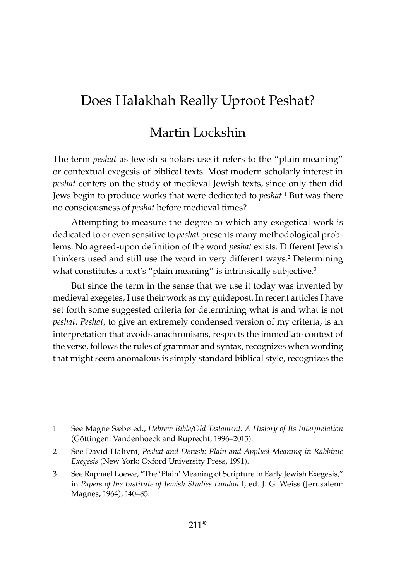# Does Halakhah Really Uproot Peshat?

## Martin Lockshin

The term *peshat* as Jewish scholars use it refers to the "plain meaning" or contextual exegesis of biblical texts. Most modern scholarly interest in *peshat* centers on the study of medieval Jewish texts, since only then did Jews begin to produce works that were dedicated to *peshat*. 1 But was there no consciousness of *peshat* before medieval times?

Attempting to measure the degree to which any exegetical work is dedicated to or even sensitive to *peshat* presents many methodological problems. No agreed-upon definition of the word *peshat* exists. Different Jewish thinkers used and still use the word in very different ways.<sup>2</sup> Determining what constitutes a text's "plain meaning" is intrinsically subjective.<sup>3</sup>

But since the term in the sense that we use it today was invented by medieval exegetes, I use their work as my guidepost. In recent articles I have set forth some suggested criteria for determining what is and what is not *peshat*. *Peshat*, to give an extremely condensed version of my criteria, is an interpretation that avoids anachronisms, respects the immediate context of the verse, follows the rules of grammar and syntax, recognizes when wording that might seem anomalous is simply standard biblical style, recognizes the

- 1 See Magne Sæbø ed., *Hebrew Bible/Old Testament: A History of Its Interpretation*  (Göttingen: Vandenhoeck and Ruprecht, 1996–2015).
- 2 See David Halivni, *Peshat and Derash: Plain and Applied Meaning in Rabbinic Exegesis* (New York: Oxford University Press, 1991).
- 3 See Raphael Loewe, "The 'Plain' Meaning of Scripture in Early Jewish Exegesis," in *Papers of the Institute of Jewish Studies London* I, ed. J. G. Weiss (Jerusalem: Magnes, 1964), 140–85.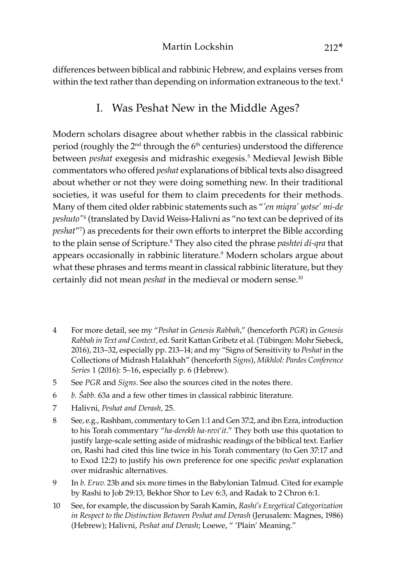differences between biblical and rabbinic Hebrew, and explains verses from within the text rather than depending on information extraneous to the text.<sup>4</sup>

## I. Was Peshat New in the Middle Ages?

Modern scholars disagree about whether rabbis in the classical rabbinic period (roughly the 2<sup>nd</sup> through the 6<sup>th</sup> centuries) understood the difference between *peshat* exegesis and midrashic exegesis.5 Medieval Jewish Bible commentators who offered *peshat* explanations of biblical texts also disagreed about whether or not they were doing something new. In their traditional societies, it was useful for them to claim precedents for their methods. Many of them cited older rabbinic statements such as "*'en miqra' yotse' mi-de peshuto"6* (translated by David Weiss-Halivni as "no text can be deprived of its *peshat*"7 ) as precedents for their own efforts to interpret the Bible according to the plain sense of Scripture.8 They also cited the phrase *pashtei di-qra* that appears occasionally in rabbinic literature.<sup>9</sup> Modern scholars argue about what these phrases and terms meant in classical rabbinic literature, but they certainly did not mean *peshat* in the medieval or modern sense.<sup>10</sup>

- 4 For more detail, see my "*Peshat* in *Genesis Rabbah*," (henceforth *PGR*) in *Genesis Rabbah in Text and Context*, ed. Sarit Kattan Gribetz et al. (Tübingen: Mohr Siebeck, 2016), 213–32, especially pp. 213–14; and my "Signs of Sensitivity to *Peshat* in the Collections of Midrash Halakhah" (henceforth *Signs*), *Mikhlol: Pardes Conference Series* 1 (2016): 5–16, especially p. 6 (Hebrew).
- 5 See *PGR* and *Signs*. See also the sources cited in the notes there.
- 6 *b. Šabb.* 63a and a few other times in classical rabbinic literature.
- 7 Halivni, *Peshat and Derash,* 25.
- 8 See, e.g., Rashbam, commentary to Gen 1:1 and Gen 37:2, and ibn Ezra, introduction to his Torah commentary "*ha-derekh ha-revi'it*." They both use this quotation to justify large-scale setting aside of midrashic readings of the biblical text. Earlier on, Rashi had cited this line twice in his Torah commentary (to Gen 37:17 and to Exod 12:2) to justify his own preference for one specific *peshat* explanation over midrashic alternatives.
- 9 In *b. Eruv.* 23b and six more times in the Babylonian Talmud. Cited for example by Rashi to Job 29:13, Bekhor Shor to Lev 6:3, and Radak to 2 Chron 6:1.
- 10 See, for example, the discussion by Sarah Kamin, *Rashi's Exegetical Categorization in Respect to the Distinction Between Peshat and Derash* (Jerusalem: Magnes, 1986) (Hebrew); Halivni, *Peshat and Derash*; Loewe, " 'Plain' Meaning."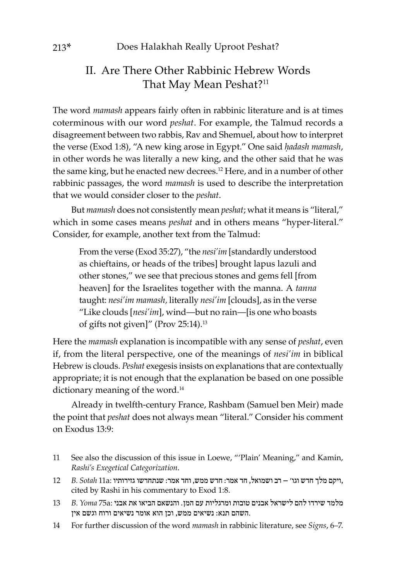## II. Are There Other Rabbinic Hebrew Words That May Mean Peshat?<sup>11</sup>

The word *mamash* appears fairly often in rabbinic literature and is at times coterminous with our word *peshat*. For example, the Talmud records a disagreement between two rabbis, Rav and Shemuel, about how to interpret the verse (Exod 1:8), "A new king arose in Egypt." One said *ḥadash mamash*, in other words he was literally a new king, and the other said that he was the same king, but he enacted new decrees.<sup>12</sup> Here, and in a number of other rabbinic passages, the word *mamash* is used to describe the interpretation that we would consider closer to the *peshat*.

But *mamash* does not consistently mean *peshat*; what it means is "literal," which in some cases means *peshat* and in others means "hyper-literal." Consider, for example, another text from the Talmud:

From the verse (Exod 35:27), "the *nesi'im* [standardly understood as chieftains, or heads of the tribes] brought lapus lazuli and other stones," we see that precious stones and gems fell [from heaven] for the Israelites together with the manna. A *tanna*  taught: *nesi'im mamash,* literally *nesi'im* [clouds], as in the verse "Like clouds [*nesi'im*], wind—but no rain—[is one who boasts of gifts not given]" (Prov 25:14).13

Here the *mamash* explanation is incompatible with any sense of *peshat*, even if, from the literal perspective, one of the meanings of *nesi'im* in biblical Hebrew is clouds. *Peshat* exegesis insists on explanations that are contextually appropriate; it is not enough that the explanation be based on one possible dictionary meaning of the word.<sup>14</sup>

Already in twelfth-century France, Rashbam (Samuel ben Meir) made the point that *peshat* does not always mean "literal." Consider his comment on Exodus 13:9:

- 11 See also the discussion of this issue in Loewe, "'Plain' Meaning," and Kamin, *Rashi's Exegetical Categorization*.
- ,ויקם מלך חדש וגו' רב ושמואל, חד אמר: חדש ממש, וחד אמר: שנתחדשו גזירותיו :a11 *Sotah .B* 12 cited by Rashi in his commentary to Exod 1:8.
- מלמד שירדו להם לישראל אבנים טובות ומרגליות עם המן. והנשאם הביאו את אבני :a75 *Yoma .B* 13 .השהם תנא: נשיאים ממש, וכן הוא אומר נשיאים ורוח וגשם אין
- 14 For further discussion of the word *mamash* in rabbinic literature, see *Signs*, 6–7.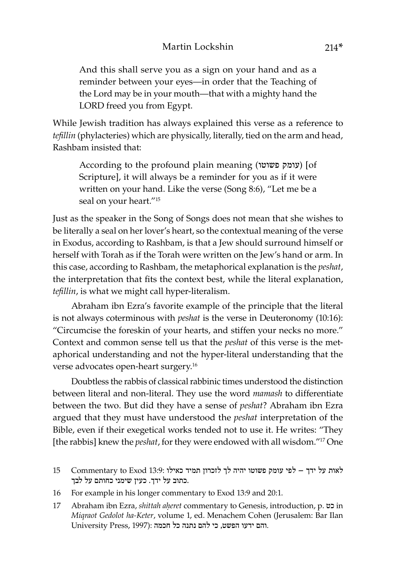And this shall serve you as a sign on your hand and as a reminder between your eyes—in order that the Teaching of the Lord may be in your mouth—that with a mighty hand the LORD freed you from Egypt.

While Jewish tradition has always explained this verse as a reference to *tefillin* (phylacteries) which are physically, literally, tied on the arm and head, Rashbam insisted that:

According to the profound plain meaning (עומק פשוטו) [of Scripture], it will always be a reminder for you as if it were written on your hand. Like the verse (Song 8:6), "Let me be a seal on your heart."15

Just as the speaker in the Song of Songs does not mean that she wishes to be literally a seal on her lover's heart, so the contextual meaning of the verse in Exodus, according to Rashbam, is that a Jew should surround himself or herself with Torah as if the Torah were written on the Jew's hand or arm. In this case, according to Rashbam, the metaphorical explanation is the *peshat*, the interpretation that fits the context best, while the literal explanation, *tefillin*, is what we might call hyper-literalism.

Abraham ibn Ezra's favorite example of the principle that the literal is not always coterminous with *peshat* is the verse in Deuteronomy (10:16): "Circumcise the foreskin of your hearts, and stiffen your necks no more." Context and common sense tell us that the *peshat* of this verse is the metaphorical understanding and not the hyper-literal understanding that the verse advocates open-heart surgery.16

Doubtless the rabbis of classical rabbinic times understood the distinction between literal and non-literal. They use the word *mamash* to differentiate between the two. But did they have a sense of *peshat*? Abraham ibn Ezra argued that they must have understood the *peshat* interpretation of the Bible, even if their exegetical works tended not to use it. He writes: "They [the rabbis] knew the *peshat*, for they were endowed with all wisdom."17 One

- לאות על ידך לפי עומק פשוטו יהיה לך לזכרון תמיד כאילו 13:9: Exod to Commentary 15 .כתוב על ידך. כעין שימני כחותם על לבך
- 16 For example in his longer commentary to Exod 13:9 and 20:1.
- 17 Abraham ibn Ezra, *shittah aḥeret* commentary to Genesis, introduction, p. כט in *Miqraot Gedolot ha-Keter*, volume 1, ed. Menachem Cohen (Jerusalem: Bar Ilan University Press, 1997): ההם ידעו הפשט, כי להם נתנה כל חכמה.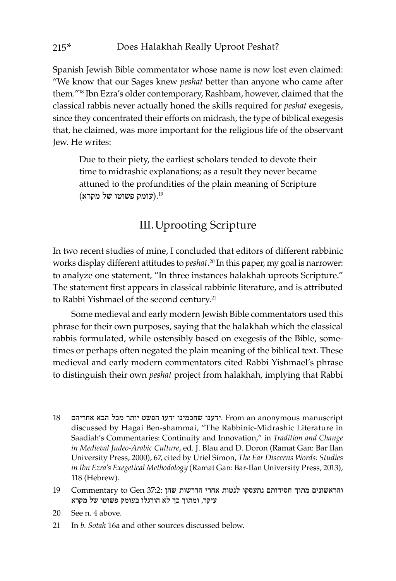Spanish Jewish Bible commentator whose name is now lost even claimed: "We know that our Sages knew *peshat* better than anyone who came after them."18 Ibn Ezra's older contemporary, Rashbam, however, claimed that the classical rabbis never actually honed the skills required for *peshat* exegesis, since they concentrated their efforts on midrash, the type of biblical exegesis that, he claimed, was more important for the religious life of the observant Jew. He writes:

Due to their piety, the earliest scholars tended to devote their time to midrashic explanations; as a result they never became attuned to the profundities of the plain meaning of Scripture .19(עומק פשוטו של מקרא)

#### III.Uprooting Scripture

In two recent studies of mine, I concluded that editors of different rabbinic works display different attitudes to *peshat*.<sup>20</sup> In this paper, my goal is narrower: to analyze one statement, "In three instances halakhah uproots Scripture." The statement first appears in classical rabbinic literature, and is attributed to Rabbi Yishmael of the second century.<sup>21</sup>

Some medieval and early modern Jewish Bible commentators used this phrase for their own purposes, saying that the halakhah which the classical rabbis formulated, while ostensibly based on exegesis of the Bible, sometimes or perhaps often negated the plain meaning of the biblical text. These medieval and early modern commentators cited Rabbi Yishmael's phrase to distinguish their own *peshat* project from halakhah, implying that Rabbi

- $18$ יותר מכל הבא אחריהם יותר השט יותר הפשט יותר הפשט יותר הבא אחריהם יותר הפשט יותר ה discussed by Hagai Ben-shammai, "The Rabbinic-Midrashic Literature in Saadiah's Commentaries: Continuity and Innovation," in *Tradition and Change in Medieval Judeo-Arabic Culture*, ed. J. Blau and D. Doron (Ramat Gan: Bar Ilan University Press, 2000), 67, cited by Uriel Simon, *The Ear Discerns Words: Studies in Ibn Ezra's Exegetical Methodology* (Ramat Gan: Bar-Ilan University Press, 2013), 118 (Hebrew).
- והראשונים מתוך חסידותם נתעסקו לנטות אחרי הדרשות שהן 37:2: Gen to Commentary 19 עיקר, ומתוך כך לא הורגלו בעומק פשוטו של מקרא
- 20 See n. 4 above.
- 21 In *b. Sotah* 16a and other sources discussed below.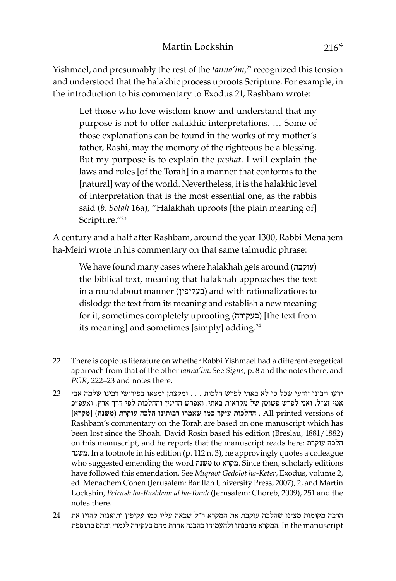Yishmael, and presumably the rest of the *tanna'im*, 22 recognized this tension and understood that the halakhic process uproots Scripture. For example, in the introduction to his commentary to Exodus 21, Rashbam wrote:

Let those who love wisdom know and understand that my purpose is not to offer halakhic interpretations. … Some of those explanations can be found in the works of my mother's father, Rashi, may the memory of the righteous be a blessing. But my purpose is to explain the *peshat*. I will explain the laws and rules [of the Torah] in a manner that conforms to the [natural] way of the world. Nevertheless, it is the halakhic level of interpretation that is the most essential one, as the rabbis said (*b. Sotah* 16a), "Halakhah uproots [the plain meaning of] Scripture."23

A century and a half after Rashbam, around the year 1300, Rabbi Menahem ha-Meiri wrote in his commentary on that same talmudic phrase:

We have found many cases where halakhah gets around (עוקבת ( the biblical text, meaning that halakhah approaches the text in a roundabout manner (בעקיפין (and with rationalizations to dislodge the text from its meaning and establish a new meaning for it, sometimes completely uprooting (בעקירה] (the text from its meaning] and sometimes [simply] adding.<sup>24</sup>

- 22 There is copious literature on whether Rabbi Yishmael had a different exegetical approach from that of the other *tanna'im*. See *Signs*, p. 8 and the notes there, and *PGR*, 222–23 and notes there.
- ידעו ויבינו יודעי שכל כי לא באתי לפרש הלכות . . . ומקצתן ימצאו בפירושי רבינו שלמה אבי 23 אמי זצ"ל, ואני לפרש פשוטן של מקראות באתי. ואפרש הדינין וההלכות לפי דרך ארץ. ואעפ"כ [מקרא] All printed versions of . ההלכות עיקר כמו שאמרו רבותינו הלכה עוקרת (משנה) Rashbam's commentary on the Torah are based on one manuscript which has been lost since the Shoah. David Rosin based his edition (Breslau, 1881/1882) on this manuscript, and he reports that the manuscript reads here: עוקרת הלכה משנה. In a footnote in his edition (p. 112 n. 3), he approvingly quotes a colleague who suggested emending the word משנה to מקרא. Since then, scholarly editions have followed this emendation. See *Miqraot Gedolot ha-Keter*, Exodus, volume 2, ed. Menachem Cohen (Jerusalem: Bar Ilan University Press, 2007), 2, and Martin Lockshin, *Peirush ha-Rashbam al ha-Torah* (Jerusalem: Choreb, 2009), 251 and the notes there.
- הרבה מקומות מצינו שהלכה עוקבת את המקרא ר"ל שבאה עליו כמו עקיפין ותואנות להזיז את 24 manuscript the In .המקרא מהבנתו ולהעמידו בהבנה אחרת מהם בעקירה לגמרי ומהם בתוספת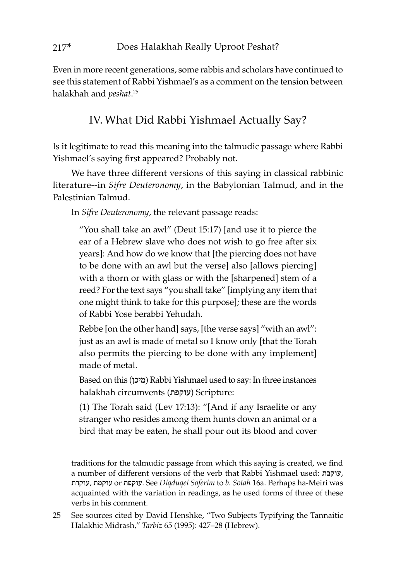Even in more recent generations, some rabbis and scholars have continued to see this statement of Rabbi Yishmael's as a comment on the tension between halakhah and *peshat*. 25

#### IV. What Did Rabbi Yishmael Actually Say?

Is it legitimate to read this meaning into the talmudic passage where Rabbi Yishmael's saying first appeared? Probably not.

We have three different versions of this saying in classical rabbinic literature--in *Sifre Deuteronomy*, in the Babylonian Talmud, and in the Palestinian Talmud.

In *Sifre Deuteronomy*, the relevant passage reads:

"You shall take an awl" (Deut 15:17) [and use it to pierce the ear of a Hebrew slave who does not wish to go free after six years]: And how do we know that [the piercing does not have to be done with an awl but the verse] also [allows piercing] with a thorn or with glass or with the [sharpened] stem of a reed? For the text says "you shall take" [implying any item that one might think to take for this purpose]; these are the words of Rabbi Yose berabbi Yehudah.

Rebbe [on the other hand] says, [the verse says] "with an awl": just as an awl is made of metal so I know only [that the Torah also permits the piercing to be done with any implement] made of metal.

Based on this (מיכן (Rabbi Yishmael used to say: In three instances halakhah circumvents (עוקפת (Scripture:

(1) The Torah said (Lev 17:13): "[And if any Israelite or any stranger who resides among them hunts down an animal or a bird that may be eaten, he shall pour out its blood and cover

traditions for the talmudic passage from which this saying is created, we find a number of different versions of the verb that Rabbi Yishmael used: עוקבת, עוקרת, עוקמת or עוקפת. See *Diqduqei Soferim* to *b. Sotah* 16a. Perhaps ha-Meiri was acquainted with the variation in readings, as he used forms of three of these verbs in his comment.

25 See sources cited by David Henshke, "Two Subjects Typifying the Tannaitic Halakhic Midrash," *Tarbiz* 65 (1995): 427–28 (Hebrew).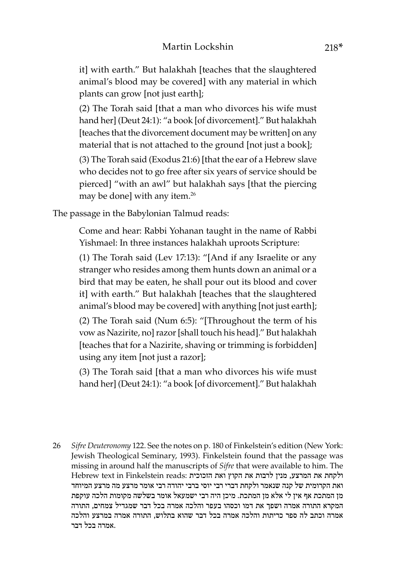it] with earth." But halakhah [teaches that the slaughtered animal's blood may be covered] with any material in which plants can grow [not just earth];

(2) The Torah said [that a man who divorces his wife must hand her] (Deut 24:1): "a book [of divorcement]." But halakhah [teaches that the divorcement document may be written] on any material that is not attached to the ground [not just a book];

(3) The Torah said (Exodus 21:6) [that the ear of a Hebrew slave who decides not to go free after six years of service should be pierced] "with an awl" but halakhah says [that the piercing may be done] with any item.<sup>26</sup>

The passage in the Babylonian Talmud reads:

Come and hear: Rabbi Yohanan taught in the name of Rabbi Yishmael: In three instances halakhah uproots Scripture:

(1) The Torah said (Lev 17:13): "[And if any Israelite or any stranger who resides among them hunts down an animal or a bird that may be eaten, he shall pour out its blood and cover it] with earth." But halakhah [teaches that the slaughtered animal's blood may be covered] with anything [not just earth];

(2) The Torah said (Num 6:5): "[Throughout the term of his vow as Nazirite, no] razor [shall touch his head]." But halakhah [teaches that for a Nazirite, shaving or trimming is forbidden] using any item [not just a razor];

(3) The Torah said [that a man who divorces his wife must hand her] (Deut 24:1): "a book [of divorcement]." But halakhah

26 *Sifre Deuteronomy* 122. See the notes on p. 180 of Finkelstein's edition (New York: Jewish Theological Seminary, 1993). Finkelstein found that the passage was missing in around half the manuscripts of *Sifre* that were available to him. The ולקחת את המרצע, מנין לרבות את הקוץ ואת הזכוכית :Hebrew text in Finkelstein reads ואת הקרומית של קנה שנאמר ולקחת דברי רבי יוסי ברבי יהודה רבי אומר מרצע מה מרצע המיוחד מן המתכת אף אין לי אלא מן המתכת. מיכן היה רבי ישמעאל אומר בשלשה מקומות הלכה עוקפת המקרא התורה אמרה ושפך את דמו וכסהו בעפר והלכה אמרה בכל דבר שמגדיל צמחים, התורה אמרה וכתב לה ספר כריתות והלכה אמרה בכל דבר שהוא בתלוש, התורה אמרה במרצע והלכה .אמרה בכל דבר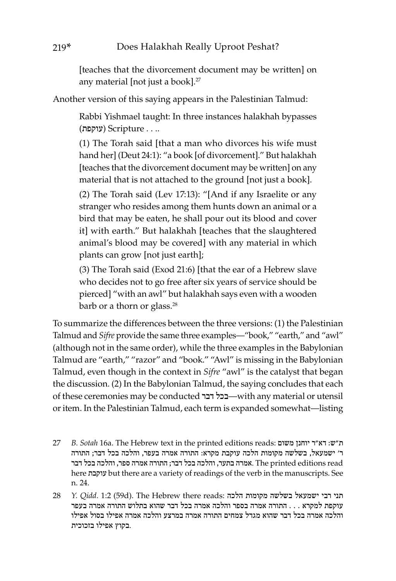[teaches that the divorcement document may be written] on any material [not just a book].<sup>27</sup>

Another version of this saying appears in the Palestinian Talmud:

Rabbi Yishmael taught: In three instances halakhah bypasses .. . . Scripture) עוקפת)

(1) The Torah said [that a man who divorces his wife must hand her] (Deut 24:1): "a book [of divorcement]." But halakhah [teaches that the divorcement document may be written] on any material that is not attached to the ground [not just a book].

(2) The Torah said (Lev 17:13): "[And if any Israelite or any stranger who resides among them hunts down an animal or a bird that may be eaten, he shall pour out its blood and cover it] with earth." But halakhah [teaches that the slaughtered animal's blood may be covered] with any material in which plants can grow [not just earth];

(3) The Torah said (Exod 21:6) [that the ear of a Hebrew slave who decides not to go free after six years of service should be pierced] "with an awl" but halakhah says even with a wooden barb or a thorn or glass.<sup>28</sup>

To summarize the differences between the three versions: (1) the Palestinian Talmud and *Sifre* provide the same three examples—"book," "earth," and "awl" (although not in the same order), while the three examples in the Babylonian Talmud are "earth," "razor" and "book." "Awl" is missing in the Babylonian Talmud, even though in the context in *Sifre* "awl" is the catalyst that began the discussion. (2) In the Babylonian Talmud, the saying concludes that each of these ceremonies may be conducted דבר בכל—with any material or utensil or item. In the Palestinian Talmud, each term is expanded somewhat—listing

- 27 *B. Sotah* 16a. The Hebrew text in the printed editions reads: משום יוחנן ר"דא :ש"ת ר' ישמעאל, בשלשה מקומות הלכה עוקבת מקרא: התורה אמרה בעפר, והלכה בכל דבר; התורה read editions printed The .אמרה בתער, והלכה בכל דבר; התורה אמרה ספר, והלכה בכל דבר here עוקבת but there are a variety of readings of the verb in the manuscripts. See n. 24.
- 28 *Y. Qidd.* 1:2 (59d). The Hebrew there reads: הלכה מקומות בשלשה ישמעאל רבי תני עוקפת למקרא . . . התורה אמרה בספר והלכה אמרה בכל דבר שהוא בתלוש התורה אמרה בעפר והלכה אמרה בכל דבר שהוא מגדל צמחים התורה אמרה במרצע והלכה אמרה אפילו בסול אפילו .בקוץ אפילו בזכוכית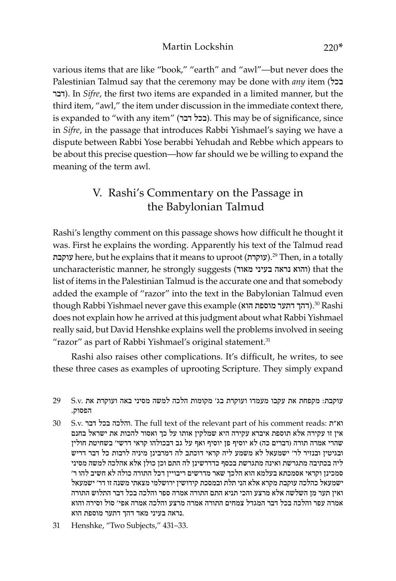various items that are like "book," "earth" and "awl"—but never does the Palestinian Talmud say that the ceremony may be done with *any* item (בכל דבר). In *Sifre*, the first two items are expanded in a limited manner, but the third item, "awl," the item under discussion in the immediate context there, is expanded to "with any item" (בכל דבר). This may be of significance, since in *Sifre*, in the passage that introduces Rabbi Yishmael's saying we have a dispute between Rabbi Yose berabbi Yehudah and Rebbe which appears to be about this precise question—how far should we be willing to expand the meaning of the term awl.

#### V. Rashi's Commentary on the Passage in the Babylonian Talmud

Rashi's lengthy comment on this passage shows how difficult he thought it was. First he explains the wording. Apparently his text of the Talmud read עוקבת).<sup>29</sup> Then, in a totally (עוקרת).<sup>29</sup> Then, in a totally uncharacteristic manner, he strongly suggests (מאוד בעיני נראה והוא (that the list of items in the Palestinian Talmud is the accurate one and that somebody added the example of "razor" into the text in the Babylonian Talmud even though Rabbi Yishmael never gave this example (דהך דתער מוספת הוא).30 Rashi does not explain how he arrived at this judgment about what Rabbi Yishmael really said, but David Henshke explains well the problems involved in seeing "razor" as part of Rabbi Yishmael's original statement.<sup>31</sup>

Rashi also raises other complications. It's difficult, he writes, to see these three cases as examples of uprooting Scripture. They simply expand

- 30 S.v. דבר בכל והלכה. The full text of the relevant part of his comment reads: ת"וא אין זו עקירה אלא תוספת איברא עקירה היא שמלקין אותו על כך ואסור להכות את ישראל בחנם שהרי אמרה תורה (דברים כה) לא יוסיף פן יוסיף ואף על גב דבכולהו קראי דרשי' בשחיטת חולין ובגיטין ובנזיר לר' ישמעאל לא משמע ליה קראי דוכתב לה דמרבינן מיניה לרבות כל דבר דריש ליה בכתיבה מתגרשת ואינה מתגרשת בכסף כדדרשינן לה התם וכן כולן אלא אהלכה למשה מסיני סמכינן וקראי אסמכתא בעלמא הוא הלכך שאר מדרשים ריבויין דכל התורה כולה לא חשיב להו ר' ישמעאל כהלכה עוקבת מקרא אלא הני תלת ובמסכת קידושין ירושלמי מצאתי משנה זו דר' ישמעאל ואין תער מן השלשה אלא מרצע והכי תניא התם התורה אמרה ספר והלכה בכל דבר התלוש התורה אמרה עפר והלכה בכל דבר המגדל צמחים התורה אמרה מרצע והלכה אמרה אפי' סול וסירה והוא .נראה בעיני מאד דהך דתער מוספת הוא
- 31 Henshke, "Two Subjects," 431–33.

עוקבת: מקפחת את עקבו מעמדו ועוקרת בג' מקומות הלכה למשה מסיני באה ועוקרת את .v.S 29 הפסוק.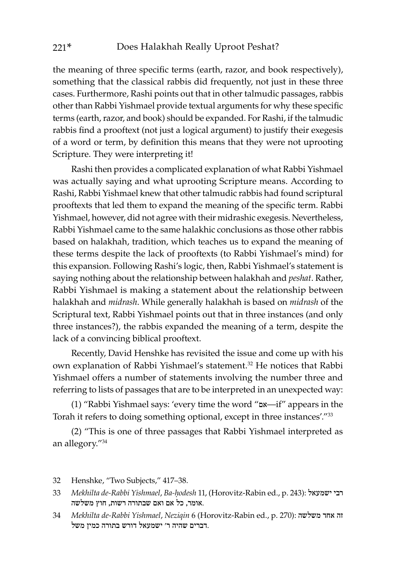the meaning of three specific terms (earth, razor, and book respectively), something that the classical rabbis did frequently, not just in these three cases. Furthermore, Rashi points out that in other talmudic passages, rabbis other than Rabbi Yishmael provide textual arguments for why these specific terms (earth, razor, and book) should be expanded. For Rashi, if the talmudic rabbis find a prooftext (not just a logical argument) to justify their exegesis of a word or term, by definition this means that they were not uprooting Scripture. They were interpreting it!

Rashi then provides a complicated explanation of what Rabbi Yishmael was actually saying and what uprooting Scripture means. According to Rashi, Rabbi Yishmael knew that other talmudic rabbis had found scriptural prooftexts that led them to expand the meaning of the specific term. Rabbi Yishmael, however, did not agree with their midrashic exegesis. Nevertheless, Rabbi Yishmael came to the same halakhic conclusions as those other rabbis based on halakhah, tradition, which teaches us to expand the meaning of these terms despite the lack of prooftexts (to Rabbi Yishmael's mind) for this expansion. Following Rashi's logic, then, Rabbi Yishmael's statement is saying nothing about the relationship between halakhah and *peshat*. Rather, Rabbi Yishmael is making a statement about the relationship between halakhah and *midrash*. While generally halakhah is based on *midrash* of the Scriptural text, Rabbi Yishmael points out that in three instances (and only three instances?), the rabbis expanded the meaning of a term, despite the lack of a convincing biblical prooftext.

Recently, David Henshke has revisited the issue and come up with his own explanation of Rabbi Yishmael's statement.<sup>32</sup> He notices that Rabbi Yishmael offers a number of statements involving the number three and referring to lists of passages that are to be interpreted in an unexpected way:

(1) "Rabbi Yishmael says: 'every time the word "אם—if" appears in the Torah it refers to doing something optional, except in three instances'."33

(2) "This is one of three passages that Rabbi Yishmael interpreted as an allegory."34

34 *Mekhilta de-Rabbi Yishmael*, *Neziqin* 6 (Horovitz-Rabin ed., p. 270): משלשה אחד זה .דברים שהיה ר' ישמעאל דורש בתורה כמין משל

<sup>32</sup> Henshke, "Two Subjects," 417–38.

<sup>33</sup> *Mekhilta de-Rabbi Yishmael*, *Ba-ḥodesh* 11, (Horovitz-Rabin ed., p. 243): ישמעאל רבי .אומר, כל אם ואם שבתורה רשות, חוץ משלשה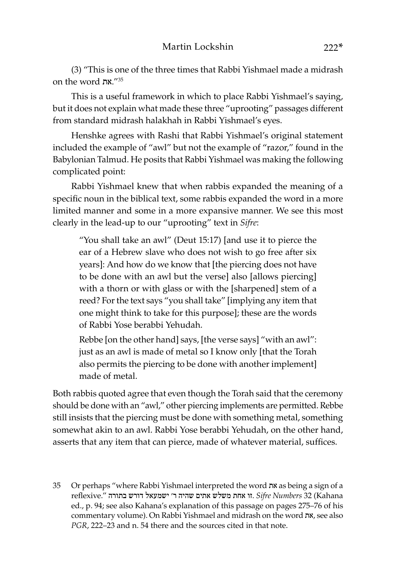(3) "This is one of the three times that Rabbi Yishmael made a midrash on the word את."35

This is a useful framework in which to place Rabbi Yishmael's saying, but it does not explain what made these three "uprooting" passages different from standard midrash halakhah in Rabbi Yishmael's eyes.

Henshke agrees with Rashi that Rabbi Yishmael's original statement included the example of "awl" but not the example of "razor," found in the Babylonian Talmud. He posits that Rabbi Yishmael was making the following complicated point:

Rabbi Yishmael knew that when rabbis expanded the meaning of a specific noun in the biblical text, some rabbis expanded the word in a more limited manner and some in a more expansive manner. We see this most clearly in the lead-up to our "uprooting" text in *Sifre*:

"You shall take an awl" (Deut 15:17) [and use it to pierce the ear of a Hebrew slave who does not wish to go free after six years]: And how do we know that [the piercing does not have to be done with an awl but the verse] also [allows piercing] with a thorn or with glass or with the [sharpened] stem of a reed? For the text says "you shall take" [implying any item that one might think to take for this purpose]; these are the words of Rabbi Yose berabbi Yehudah.

Rebbe [on the other hand] says, [the verse says] "with an awl": just as an awl is made of metal so I know only [that the Torah also permits the piercing to be done with another implement] made of metal.

Both rabbis quoted agree that even though the Torah said that the ceremony should be done with an "awl," other piercing implements are permitted. Rebbe still insists that the piercing must be done with something metal, something somewhat akin to an awl. Rabbi Yose berabbi Yehudah, on the other hand, asserts that any item that can pierce, made of whatever material, suffices.

35 Or perhaps "where Rabbi Yishmael interpreted the word את as being a sign of a Kahana (32 *Numbers Sifre* .זו אחת משלש אתים שהיה ר' ישמעאל דורש בתורה ".reflexive ed., p. 94; see also Kahana's explanation of this passage on pages 275–76 of his commentary volume). On Rabbi Yishmael and midrash on the word את, see also *PGR*, 222–23 and n. 54 there and the sources cited in that note.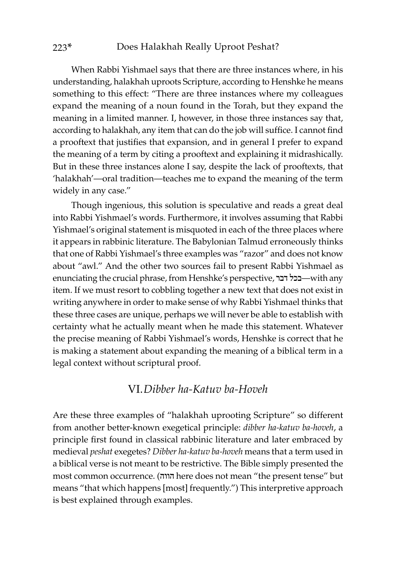When Rabbi Yishmael says that there are three instances where, in his understanding, halakhah uproots Scripture, according to Henshke he means something to this effect: "There are three instances where my colleagues expand the meaning of a noun found in the Torah, but they expand the meaning in a limited manner. I, however, in those three instances say that, according to halakhah, any item that can do the job will suffice. I cannot find a prooftext that justifies that expansion, and in general I prefer to expand the meaning of a term by citing a prooftext and explaining it midrashically. But in these three instances alone I say, despite the lack of prooftexts, that 'halakhah'—oral tradition—teaches me to expand the meaning of the term widely in any case."

Though ingenious, this solution is speculative and reads a great deal into Rabbi Yishmael's words. Furthermore, it involves assuming that Rabbi Yishmael's original statement is misquoted in each of the three places where it appears in rabbinic literature. The Babylonian Talmud erroneously thinks that one of Rabbi Yishmael's three examples was "razor" and does not know about "awl." And the other two sources fail to present Rabbi Yishmael as enunciating the crucial phrase, from Henshke's perspective, דבר בכל—with any item. If we must resort to cobbling together a new text that does not exist in writing anywhere in order to make sense of why Rabbi Yishmael thinks that these three cases are unique, perhaps we will never be able to establish with certainty what he actually meant when he made this statement. Whatever the precise meaning of Rabbi Yishmael's words, Henshke is correct that he is making a statement about expanding the meaning of a biblical term in a legal context without scriptural proof.

#### VI.*Dibber ha-Katuv ba-Hoveh*

Are these three examples of "halakhah uprooting Scripture" so different from another better-known exegetical principle: *dibber ha-katuv ba-hoveh*, a principle first found in classical rabbinic literature and later embraced by medieval *peshat* exegetes? *Dibber ha-katuv ba-hoveh* means that a term used in a biblical verse is not meant to be restrictive. The Bible simply presented the most common occurrence. (הווה here does not mean "the present tense" but means "that which happens [most] frequently.") This interpretive approach is best explained through examples.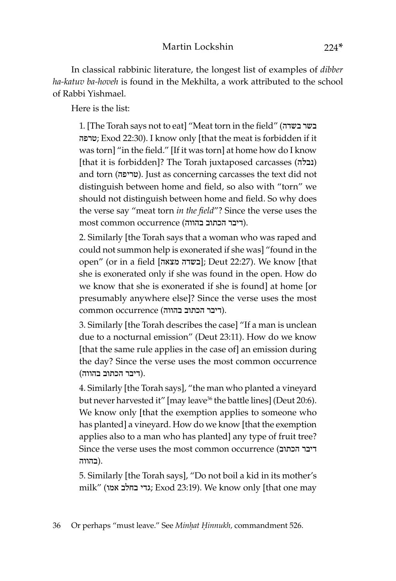In classical rabbinic literature, the longest list of examples of *dibber ha-katuv ba-hoveh* is found in the Mekhilta, a work attributed to the school of Rabbi Yishmael.

Here is the list:

1. [The Torah says not to eat] "Meat torn in the field" (בשדה בשר טרפה ;Exod 22:30). I know only [that the meat is forbidden if it was torn] "in the field." [If it was torn] at home how do I know [that it is forbidden]? The Torah juxtaposed carcasses (נבלה ( and torn (טריפה). Just as concerning carcasses the text did not distinguish between home and field, so also with "torn" we should not distinguish between home and field. So why does the verse say "meat torn *in the field*"? Since the verse uses the most common occurrence (דיבר הכתוב בהווה).

2. Similarly [the Torah says that a woman who was raped and could not summon help is exonerated if she was] "found in the open" (or in a field [בשדה מצאה]; Deut 22:27). We know [that she is exonerated only if she was found in the open. How do we know that she is exonerated if she is found] at home [or presumably anywhere else]? Since the verse uses the most .(דיבר הכתוב בהווה) occurrence common

3. Similarly [the Torah describes the case] "If a man is unclean due to a nocturnal emission" (Deut 23:11). How do we know [that the same rule applies in the case of] an emission during the day? Since the verse uses the most common occurrence .(דיבר הכתוב בהווה)

4. Similarly [the Torah says], "the man who planted a vineyard but never harvested it" [may leave<sup>36</sup> the battle lines] (Deut 20:6). We know only [that the exemption applies to someone who has planted] a vineyard. How do we know [that the exemption applies also to a man who has planted] any type of fruit tree? Since the verse uses the most common occurrence (הכתוב דיבר .(בהווה

5. Similarly [the Torah says], "Do not boil a kid in its mother's milk" (אמו בחלב גדי ;Exod 23:19). We know only [that one may

36 Or perhaps "must leave." See *Minḥat Ḥinnukh,* commandment 526.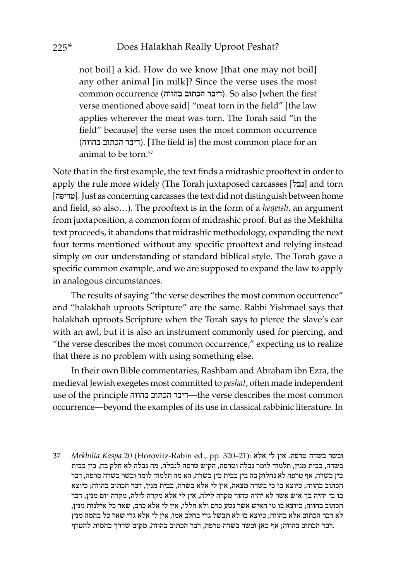not boil] a kid. How do we know [that one may not boil] any other animal [in milk]? Since the verse uses the most common occurrence (בהווה הכתוב דיבר(. So also [when the first verse mentioned above said] "meat torn in the field" [the law applies wherever the meat was torn. The Torah said "in the field" because] the verse uses the most common occurrence (דיבר הכתוב בהווה). [The field is] the most common place for an animal to be torn  $37$ 

Note that in the first example, the text finds a midrashic prooftext in order to apply the rule more widely (The Torah juxtaposed carcasses [151] and torn [טריפה[. Just as concerning carcasses the text did not distinguish between home and field, so also…). The prooftext is in the form of a *heqeish*, an argument from juxtaposition, a common form of midrashic proof. But as the Mekhilta text proceeds, it abandons that midrashic methodology, expanding the next four terms mentioned without any specific prooftext and relying instead simply on our understanding of standard biblical style. The Torah gave a specific common example, and we are supposed to expand the law to apply in analogous circumstances.

The results of saying "the verse describes the most common occurrence" and "halakhah uproots Scripture" are the same. Rabbi Yishmael says that halakhah uproots Scripture when the Torah says to pierce the slave's ear with an awl, but it is also an instrument commonly used for piercing, and "the verse describes the most common occurrence," expecting us to realize that there is no problem with using something else.

In their own Bible commentaries, Rashbam and Abraham ibn Ezra, the medieval Jewish exegetes most committed to *peshat*, often made independent use of the principle בהווה הכתוב דיבר—the verse describes the most common occurrence—beyond the examples of its use in classical rabbinic literature. In

ובשר בשדה טרפה. אין לי אלא :(21–230 Purbitz-Rabin ed., pp. 320–21) ובשר בשדה טרפה. בשדה, בבית מנין, תלמוד לומר נבלה וטרפה, הקיש טרפה לנבלה, מה נבלה לא חלק בה, בין בבית בין בשדה, אף טרפה לא נחלוק בה בין בבית בין בשדה, הא מה תלמוד לומר ובשר בשדה טרפה, דבר הכתוב בהווה; כיוצא בו כי בשדה מצאה, אין לי אלא בשדה, בבית מנין, דבר הכתוב בהווה; כיוצא בו כי יהיה בך איש אשר לא יהיה טהור מקרה לילה, אין לי אלא מקרה לילה, מקרה יום מנין, דבר הכתוב בהווה; כיוצא בו מי האיש אשר נטע כרם ולא חללו, אין לי אלא כרם, שאר כל אילנות מנין, לא דבר הכתוב אלא בהווה; כיוצא בו לא תבשל גדי בחלב אמו, אין לי אלא גדי שאר כל בהמה מנין .דבר הכתוב בהווה; אף כאן ובשר בשדה טרפה, דבר הכתוב בהווה, מקום שדרך בהמות להטרף